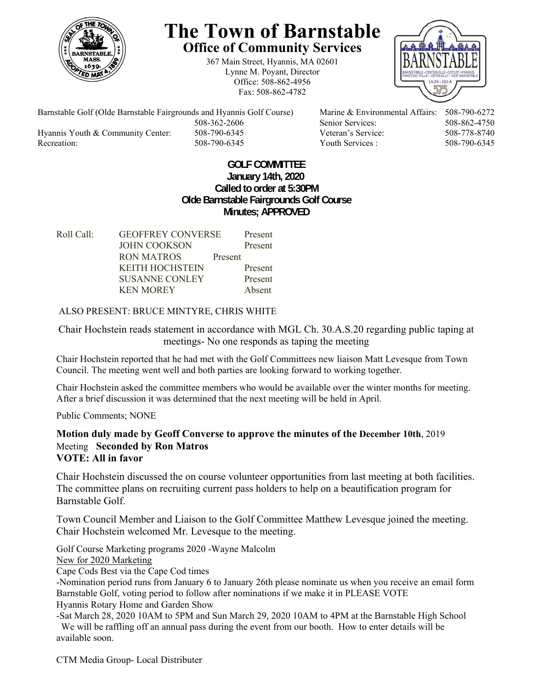

# **The Town of Barnstable Office of Community Services**

367 Main Street, Hyannis, MA 02601 Lynne M. Poyant, Director Office: 508-862-4956 Fax: 508-862-4782



Barnstable Golf (Olde Barnstable Fairgrounds and Hyannis Golf Course) Marine & Environmental Affairs: 508-790-6272 508-362-2606 Senior Services: 508-862-4750 Hyannis Youth & Community Center: 508-790-6345 Veteran's Service: 508-778-8740 Recreation: 508-790-6345 Youth Services : 508-790-6345 S08-790-6345

## **GOLF COMMITTEE January 14th, 2020 Called to order at 5:30PM Olde Barnstable Fairgrounds Golf Course Minutes; APPROVED**

| Roll Call: | <b>GEOFFREY CONVERSE</b> |         | Present |
|------------|--------------------------|---------|---------|
|            | <b>JOHN COOKSON</b>      |         | Present |
|            | RON MATROS               | Present |         |
|            | <b>KEITH HOCHSTEIN</b>   |         | Present |
|            | <b>SUSANNE CONLEY</b>    |         | Present |
|            | <b>KEN MOREY</b>         |         | Absent  |
|            |                          |         |         |

# ALSO PRESENT: BRUCE MINTYRE, CHRIS WHITE

Chair Hochstein reads statement in accordance with MGL Ch. 30.A.S.20 regarding public taping at meetings- No one responds as taping the meeting

Chair Hochstein reported that he had met with the Golf Committees new liaison Matt Levesque from Town Council. The meeting went well and both parties are looking forward to working together.

Chair Hochstein asked the committee members who would be available over the winter months for meeting. After a brief discussion it was determined that the next meeting will be held in April.

Public Comments; NONE

## **Motion duly made by Geoff Converse to approve the minutes of the December 10th**, 2019 Meeting **Seconded by Ron Matros VOTE: All in favor**

Chair Hochstein discussed the on course volunteer opportunities from last meeting at both facilities. The committee plans on recruiting current pass holders to help on a beautification program for Barnstable Golf.

Town Council Member and Liaison to the Golf Committee Matthew Levesque joined the meeting. Chair Hochstein welcomed Mr. Levesque to the meeting.

Golf Course Marketing programs 2020 -Wayne Malcolm

New for 2020 Marketing

Cape Cods Best via the Cape Cod times

-Nomination period runs from January 6 to January 26th please nominate us when you receive an email form Barnstable Golf, voting period to follow after nominations if we make it in PLEASE VOTE Hyannis Rotary Home and Garden Show

-Sat March 28, 2020 10AM to 5PM and Sun March 29, 2020 10AM to 4PM at the Barnstable High School We will be raffling off an annual pass during the event from our booth. How to enter details will be available soon.